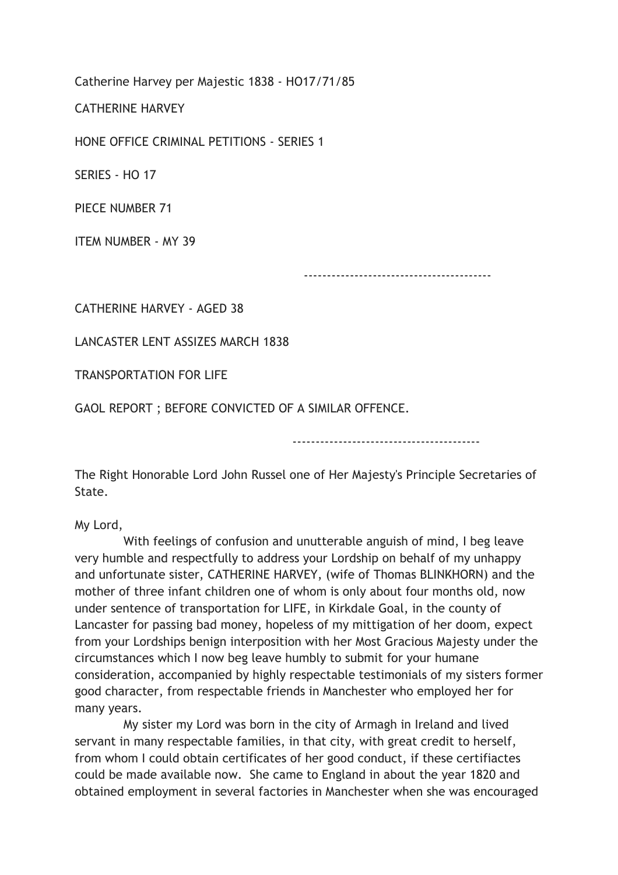Catherine Harvey per Majestic 1838 - HO17/71/85

CATHERINE HARVEY

HONE OFFICE CRIMINAL PETITIONS - SERIES 1

SERIES - HO 17

PIECE NUMBER 71

ITEM NUMBER - MY 39

-----------------------------------------

CATHERINE HARVEY - AGED 38

LANCASTER LENT ASSIZES MARCH 1838

TRANSPORTATION FOR LIFE

GAOL REPORT ; BEFORE CONVICTED OF A SIMILAR OFFENCE.

-----------------------------------------

The Right Honorable Lord John Russel one of Her Majesty's Principle Secretaries of State.

My Lord,

 With feelings of confusion and unutterable anguish of mind, I beg leave very humble and respectfully to address your Lordship on behalf of my unhappy and unfortunate sister, CATHERINE HARVEY, (wife of Thomas BLINKHORN) and the mother of three infant children one of whom is only about four months old, now under sentence of transportation for LIFE, in Kirkdale Goal, in the county of Lancaster for passing bad money, hopeless of my mittigation of her doom, expect from your Lordships benign interposition with her Most Gracious Majesty under the circumstances which I now beg leave humbly to submit for your humane consideration, accompanied by highly respectable testimonials of my sisters former good character, from respectable friends in Manchester who employed her for many years.

 My sister my Lord was born in the city of Armagh in Ireland and lived servant in many respectable families, in that city, with great credit to herself, from whom I could obtain certificates of her good conduct, if these certifiactes could be made available now. She came to England in about the year 1820 and obtained employment in several factories in Manchester when she was encouraged